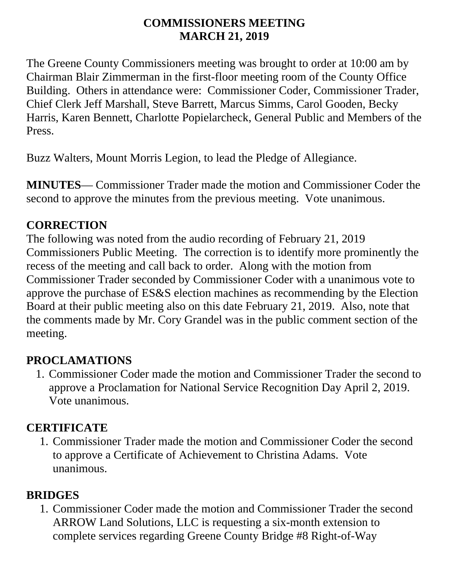#### **COMMISSIONERS MEETING MARCH 21, 2019**

The Greene County Commissioners meeting was brought to order at 10:00 am by Chairman Blair Zimmerman in the first-floor meeting room of the County Office Building. Others in attendance were: Commissioner Coder, Commissioner Trader, Chief Clerk Jeff Marshall, Steve Barrett, Marcus Simms, Carol Gooden, Becky Harris, Karen Bennett, Charlotte Popielarcheck, General Public and Members of the Press.

Buzz Walters, Mount Morris Legion, to lead the Pledge of Allegiance.

**MINUTES**— Commissioner Trader made the motion and Commissioner Coder the second to approve the minutes from the previous meeting. Vote unanimous.

#### **CORRECTION**

The following was noted from the audio recording of February 21, 2019 Commissioners Public Meeting. The correction is to identify more prominently the recess of the meeting and call back to order. Along with the motion from Commissioner Trader seconded by Commissioner Coder with a unanimous vote to approve the purchase of ES&S election machines as recommending by the Election Board at their public meeting also on this date February 21, 2019. Also, note that the comments made by Mr. Cory Grandel was in the public comment section of the meeting.

## **PROCLAMATIONS**

1. Commissioner Coder made the motion and Commissioner Trader the second to approve a Proclamation for National Service Recognition Day April 2, 2019. Vote unanimous.

## **CERTIFICATE**

1. Commissioner Trader made the motion and Commissioner Coder the second to approve a Certificate of Achievement to Christina Adams. Vote unanimous.

# **BRIDGES**

1. Commissioner Coder made the motion and Commissioner Trader the second ARROW Land Solutions, LLC is requesting a six-month extension to complete services regarding Greene County Bridge #8 Right-of-Way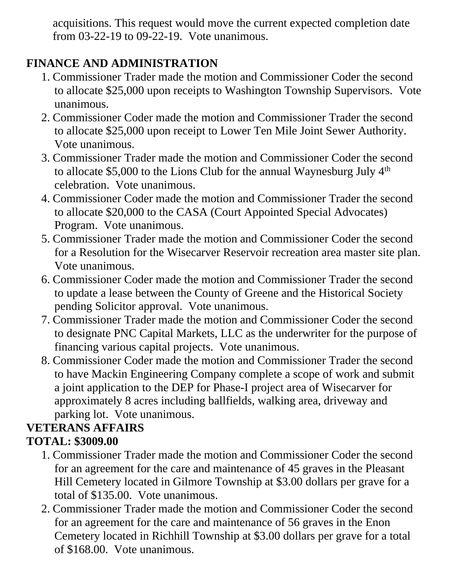acquisitions. This request would move the current expected completion date from 03-22-19 to 09-22-19. Vote unanimous.

## **FINANCE AND ADMINISTRATION**

- 1. Commissioner Trader made the motion and Commissioner Coder the second to allocate \$25,000 upon receipts to Washington Township Supervisors. Vote unanimous.
- 2. Commissioner Coder made the motion and Commissioner Trader the second to allocate \$25,000 upon receipt to Lower Ten Mile Joint Sewer Authority. Vote unanimous.
- 3. Commissioner Trader made the motion and Commissioner Coder the second to allocate \$5,000 to the Lions Club for the annual Waynesburg July  $4<sup>th</sup>$ celebration. Vote unanimous.
- 4. Commissioner Coder made the motion and Commissioner Trader the second to allocate \$20,000 to the CASA (Court Appointed Special Advocates) Program. Vote unanimous.
- 5. Commissioner Trader made the motion and Commissioner Coder the second for a Resolution for the Wisecarver Reservoir recreation area master site plan. Vote unanimous.
- 6. Commissioner Coder made the motion and Commissioner Trader the second to update a lease between the County of Greene and the Historical Society pending Solicitor approval. Vote unanimous.
- 7. Commissioner Trader made the motion and Commissioner Coder the second to designate PNC Capital Markets, LLC as the underwriter for the purpose of financing various capital projects. Vote unanimous.
- 8. Commissioner Coder made the motion and Commissioner Trader the second to have Mackin Engineering Company complete a scope of work and submit a joint application to the DEP for Phase-I project area of Wisecarver for approximately 8 acres including ballfields, walking area, driveway and parking lot. Vote unanimous.

#### **VETERANS AFFAIRS TOTAL: \$3009.00**

- 1. Commissioner Trader made the motion and Commissioner Coder the second for an agreement for the care and maintenance of 45 graves in the Pleasant Hill Cemetery located in Gilmore Township at \$3.00 dollars per grave for a total of \$135.00. Vote unanimous.
- 2. Commissioner Trader made the motion and Commissioner Coder the second for an agreement for the care and maintenance of 56 graves in the Enon Cemetery located in Richhill Township at \$3.00 dollars per grave for a total of \$168.00. Vote unanimous.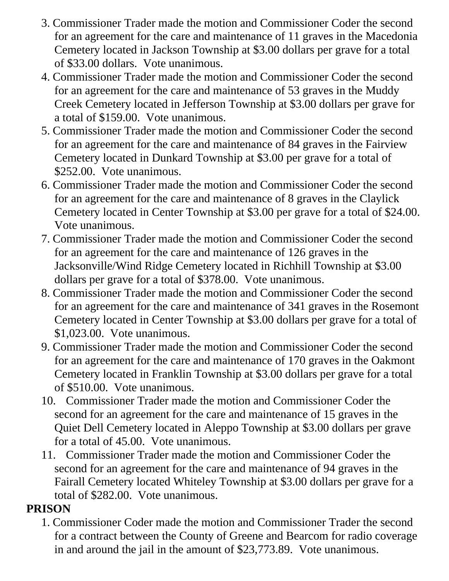- 3. Commissioner Trader made the motion and Commissioner Coder the second for an agreement for the care and maintenance of 11 graves in the Macedonia Cemetery located in Jackson Township at \$3.00 dollars per grave for a total of \$33.00 dollars. Vote unanimous.
- 4. Commissioner Trader made the motion and Commissioner Coder the second for an agreement for the care and maintenance of 53 graves in the Muddy Creek Cemetery located in Jefferson Township at \$3.00 dollars per grave for a total of \$159.00. Vote unanimous.
- 5. Commissioner Trader made the motion and Commissioner Coder the second for an agreement for the care and maintenance of 84 graves in the Fairview Cemetery located in Dunkard Township at \$3.00 per grave for a total of \$252.00. Vote unanimous.
- 6. Commissioner Trader made the motion and Commissioner Coder the second for an agreement for the care and maintenance of 8 graves in the Claylick Cemetery located in Center Township at \$3.00 per grave for a total of \$24.00. Vote unanimous.
- 7. Commissioner Trader made the motion and Commissioner Coder the second for an agreement for the care and maintenance of 126 graves in the Jacksonville/Wind Ridge Cemetery located in Richhill Township at \$3.00 dollars per grave for a total of \$378.00. Vote unanimous.
- 8. Commissioner Trader made the motion and Commissioner Coder the second for an agreement for the care and maintenance of 341 graves in the Rosemont Cemetery located in Center Township at \$3.00 dollars per grave for a total of \$1,023.00. Vote unanimous.
- 9. Commissioner Trader made the motion and Commissioner Coder the second for an agreement for the care and maintenance of 170 graves in the Oakmont Cemetery located in Franklin Township at \$3.00 dollars per grave for a total of \$510.00. Vote unanimous.
- 10. Commissioner Trader made the motion and Commissioner Coder the second for an agreement for the care and maintenance of 15 graves in the Quiet Dell Cemetery located in Aleppo Township at \$3.00 dollars per grave for a total of 45.00. Vote unanimous.
- 11. Commissioner Trader made the motion and Commissioner Coder the second for an agreement for the care and maintenance of 94 graves in the Fairall Cemetery located Whiteley Township at \$3.00 dollars per grave for a total of \$282.00. Vote unanimous.

#### **PRISON**

1. Commissioner Coder made the motion and Commissioner Trader the second for a contract between the County of Greene and Bearcom for radio coverage in and around the jail in the amount of \$23,773.89. Vote unanimous.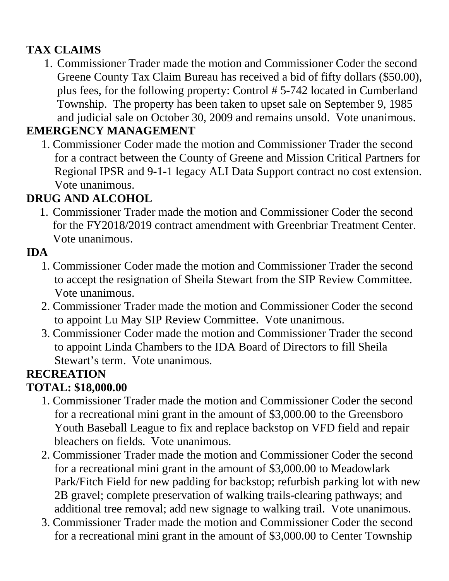# **TAX CLAIMS**

1. Commissioner Trader made the motion and Commissioner Coder the second Greene County Tax Claim Bureau has received a bid of fifty dollars (\$50.00), plus fees, for the following property: Control # 5-742 located in Cumberland Township. The property has been taken to upset sale on September 9, 1985 and judicial sale on October 30, 2009 and remains unsold. Vote unanimous.

## **EMERGENCY MANAGEMENT**

1. Commissioner Coder made the motion and Commissioner Trader the second for a contract between the County of Greene and Mission Critical Partners for Regional IPSR and 9-1-1 legacy ALI Data Support contract no cost extension. Vote unanimous.

# **DRUG AND ALCOHOL**

1. Commissioner Trader made the motion and Commissioner Coder the second for the FY2018/2019 contract amendment with Greenbriar Treatment Center. Vote unanimous.

#### **IDA**

- 1. Commissioner Coder made the motion and Commissioner Trader the second to accept the resignation of Sheila Stewart from the SIP Review Committee. Vote unanimous.
- 2. Commissioner Trader made the motion and Commissioner Coder the second to appoint Lu May SIP Review Committee. Vote unanimous.
- 3. Commissioner Coder made the motion and Commissioner Trader the second to appoint Linda Chambers to the IDA Board of Directors to fill Sheila Stewart's term. Vote unanimous.

# **RECREATION**

#### **TOTAL: \$18,000.00**

- 1. Commissioner Trader made the motion and Commissioner Coder the second for a recreational mini grant in the amount of \$3,000.00 to the Greensboro Youth Baseball League to fix and replace backstop on VFD field and repair bleachers on fields. Vote unanimous.
- 2. Commissioner Trader made the motion and Commissioner Coder the second for a recreational mini grant in the amount of \$3,000.00 to Meadowlark Park/Fitch Field for new padding for backstop; refurbish parking lot with new 2B gravel; complete preservation of walking trails-clearing pathways; and additional tree removal; add new signage to walking trail. Vote unanimous.
- 3. Commissioner Trader made the motion and Commissioner Coder the second for a recreational mini grant in the amount of \$3,000.00 to Center Township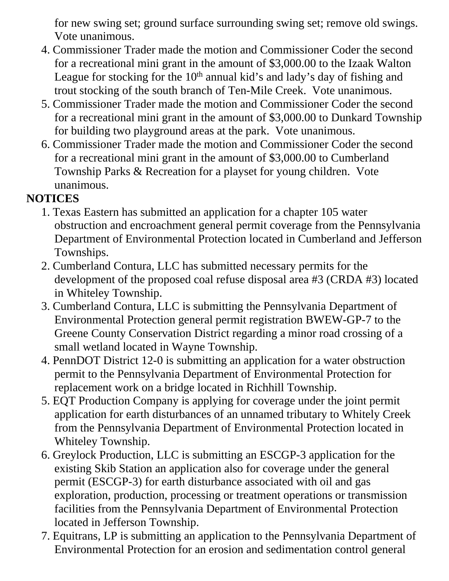for new swing set; ground surface surrounding swing set; remove old swings. Vote unanimous.

- 4. Commissioner Trader made the motion and Commissioner Coder the second for a recreational mini grant in the amount of \$3,000.00 to the Izaak Walton League for stocking for the  $10<sup>th</sup>$  annual kid's and lady's day of fishing and trout stocking of the south branch of Ten-Mile Creek. Vote unanimous.
- 5. Commissioner Trader made the motion and Commissioner Coder the second for a recreational mini grant in the amount of \$3,000.00 to Dunkard Township for building two playground areas at the park. Vote unanimous.
- 6. Commissioner Trader made the motion and Commissioner Coder the second for a recreational mini grant in the amount of \$3,000.00 to Cumberland Township Parks & Recreation for a playset for young children. Vote unanimous.

## **NOTICES**

- 1. Texas Eastern has submitted an application for a chapter 105 water obstruction and encroachment general permit coverage from the Pennsylvania Department of Environmental Protection located in Cumberland and Jefferson Townships.
- 2. Cumberland Contura, LLC has submitted necessary permits for the development of the proposed coal refuse disposal area #3 (CRDA #3) located in Whiteley Township.
- 3. Cumberland Contura, LLC is submitting the Pennsylvania Department of Environmental Protection general permit registration BWEW-GP-7 to the Greene County Conservation District regarding a minor road crossing of a small wetland located in Wayne Township.
- 4. PennDOT District 12-0 is submitting an application for a water obstruction permit to the Pennsylvania Department of Environmental Protection for replacement work on a bridge located in Richhill Township.
- 5. EQT Production Company is applying for coverage under the joint permit application for earth disturbances of an unnamed tributary to Whitely Creek from the Pennsylvania Department of Environmental Protection located in Whiteley Township.
- 6. Greylock Production, LLC is submitting an ESCGP-3 application for the existing Skib Station an application also for coverage under the general permit (ESCGP-3) for earth disturbance associated with oil and gas exploration, production, processing or treatment operations or transmission facilities from the Pennsylvania Department of Environmental Protection located in Jefferson Township.
- 7. Equitrans, LP is submitting an application to the Pennsylvania Department of Environmental Protection for an erosion and sedimentation control general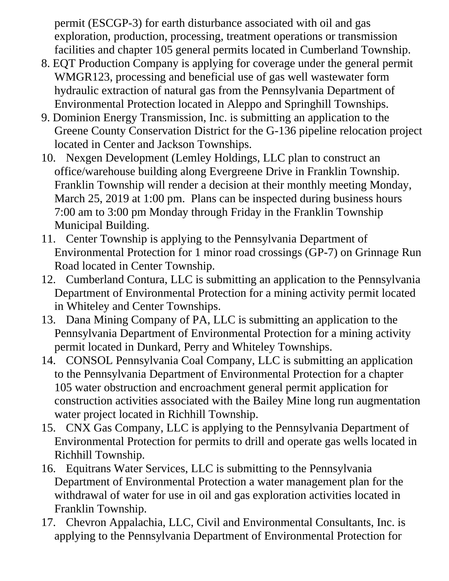permit (ESCGP-3) for earth disturbance associated with oil and gas exploration, production, processing, treatment operations or transmission facilities and chapter 105 general permits located in Cumberland Township.

- 8. EQT Production Company is applying for coverage under the general permit WMGR123, processing and beneficial use of gas well wastewater form hydraulic extraction of natural gas from the Pennsylvania Department of Environmental Protection located in Aleppo and Springhill Townships.
- 9. Dominion Energy Transmission, Inc. is submitting an application to the Greene County Conservation District for the G-136 pipeline relocation project located in Center and Jackson Townships.
- 10. Nexgen Development (Lemley Holdings, LLC plan to construct an office/warehouse building along Evergreene Drive in Franklin Township. Franklin Township will render a decision at their monthly meeting Monday, March 25, 2019 at 1:00 pm. Plans can be inspected during business hours 7:00 am to 3:00 pm Monday through Friday in the Franklin Township Municipal Building.
- 11. Center Township is applying to the Pennsylvania Department of Environmental Protection for 1 minor road crossings (GP-7) on Grinnage Run Road located in Center Township.
- 12. Cumberland Contura, LLC is submitting an application to the Pennsylvania Department of Environmental Protection for a mining activity permit located in Whiteley and Center Townships.
- 13. Dana Mining Company of PA, LLC is submitting an application to the Pennsylvania Department of Environmental Protection for a mining activity permit located in Dunkard, Perry and Whiteley Townships.
- 14. CONSOL Pennsylvania Coal Company, LLC is submitting an application to the Pennsylvania Department of Environmental Protection for a chapter 105 water obstruction and encroachment general permit application for construction activities associated with the Bailey Mine long run augmentation water project located in Richhill Township.
- 15. CNX Gas Company, LLC is applying to the Pennsylvania Department of Environmental Protection for permits to drill and operate gas wells located in Richhill Township.
- 16. Equitrans Water Services, LLC is submitting to the Pennsylvania Department of Environmental Protection a water management plan for the withdrawal of water for use in oil and gas exploration activities located in Franklin Township.
- 17. Chevron Appalachia, LLC, Civil and Environmental Consultants, Inc. is applying to the Pennsylvania Department of Environmental Protection for